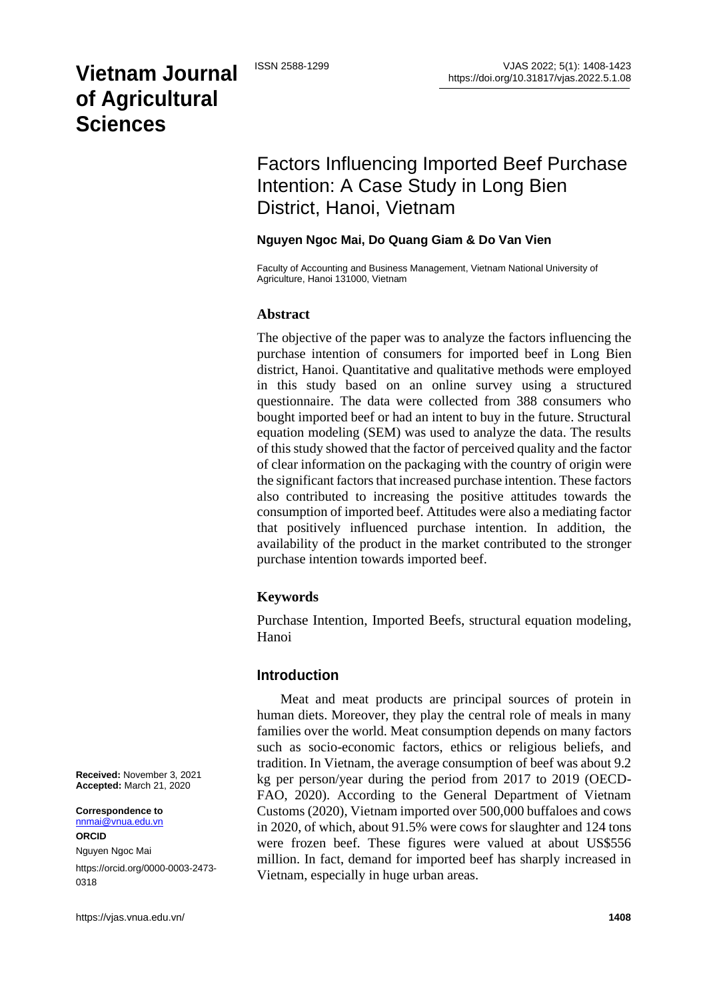# **Vietnam Journal of Agricultural Sciences**

## Factors Influencing Imported Beef Purchase Intention: A Case Study in Long Bien District, Hanoi, Vietnam

#### **Nguyen Ngoc Mai, Do Quang Giam & Do Van Vien**

Faculty of Accounting and Business Management, Vietnam National University of Agriculture, Hanoi 131000, Vietnam

#### **Abstract**

The objective of the paper was to analyze the factors influencing the purchase intention of consumers for imported beef in Long Bien district, Hanoi. Quantitative and qualitative methods were employed in this study based on an online survey using a structured questionnaire. The data were collected from 388 consumers who bought imported beef or had an intent to buy in the future. Structural equation modeling (SEM) was used to analyze the data. The results of this study showed that the factor of perceived quality and the factor of clear information on the packaging with the country of origin were the significant factors that increased purchase intention. These factors also contributed to increasing the positive attitudes towards the consumption of imported beef. Attitudes were also a mediating factor that positively influenced purchase intention. In addition, the availability of the product in the market contributed to the stronger purchase intention towards imported beef.

#### **Keywords**

Purchase Intention, Imported Beefs, structural equation modeling, Hanoi

#### **Introduction**

Meat and meat products are principal sources of protein in human diets. Moreover, they play the central role of meals in many families over the world. Meat consumption depends on many factors such as socio-economic factors, ethics or religious beliefs, and tradition. In Vietnam, the average consumption of beef was about 9.2 kg per person/year during the period from 2017 to 2019 (OECD-FAO, 2020). According to the General Department of Vietnam Customs (2020), Vietnam imported over 500,000 buffaloes and cows in 2020, of which, about 91.5% were cows for slaughter and 124 tons were frozen beef. These figures were valued at about US\$556 million. In fact, demand for imported beef has sharply increased in Vietnam, especially in huge urban areas.

**Received:** November 3, 2021 **Accepted:** March 21, 2020

**Correspondence to**  [nnmai@vnua.edu.vn](mailto:nnmai@vnua.edu.vn) **ORCID** Nguyen Ngoc Mai

[https://orcid.org/0000-0003-2473-](https://orcid.org/0000-0003-2473-0318) [0318](https://orcid.org/0000-0003-2473-0318)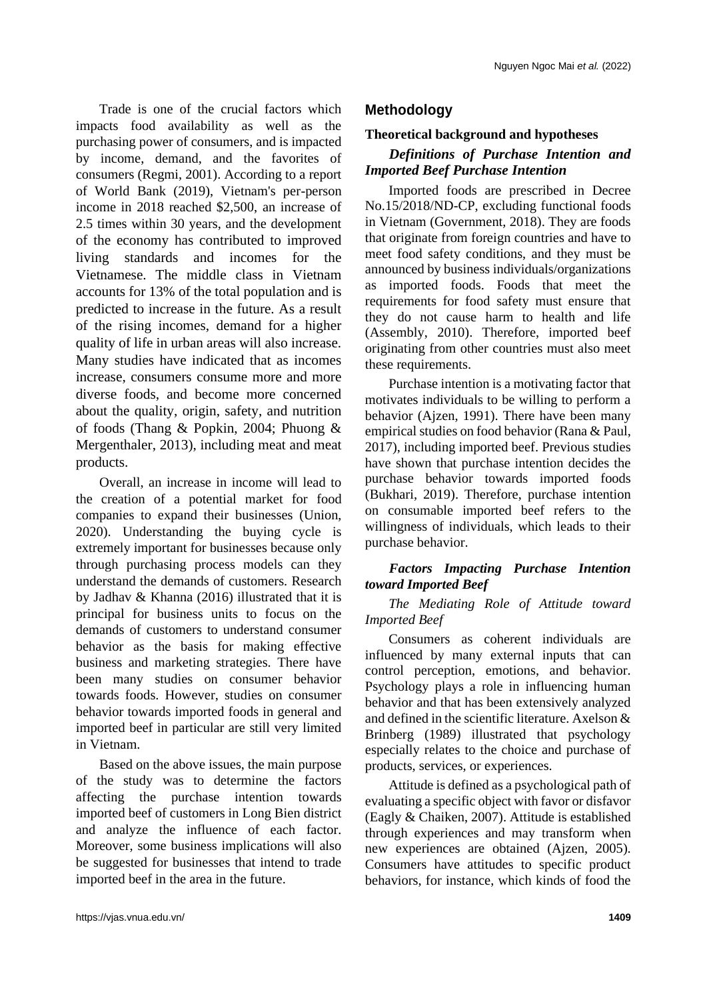Trade is one of the crucial factors which impacts food availability as well as the purchasing power of consumers, and is impacted by income, demand, and the favorites of consumers (Regmi, 2001). According to a report of World Bank (2019), Vietnam's per-person income in 2018 reached \$2,500, an increase of 2.5 times within 30 years, and the development of the economy has contributed to improved living standards and incomes for the Vietnamese. The middle class in Vietnam accounts for 13% of the total population and is predicted to increase in the future. As a result of the rising incomes, demand for a higher quality of life in urban areas will also increase. Many studies have indicated that as incomes increase, consumers consume more and more diverse foods, and become more concerned about the quality, origin, safety, and nutrition of foods (Thang & Popkin, 2004; Phuong & Mergenthaler, 2013), including meat and meat products.

Overall, an increase in income will lead to the creation of a potential market for food companies to expand their businesses (Union, 2020). Understanding the buying cycle is extremely important for businesses because only through purchasing process models can they understand the demands of customers. Research by Jadhav & Khanna (2016) illustrated that it is principal for business units to focus on the demands of customers to understand consumer behavior as the basis for making effective business and marketing strategies. There have been many studies on consumer behavior towards foods. However, studies on consumer behavior towards imported foods in general and imported beef in particular are still very limited in Vietnam.

Based on the above issues, the main purpose of the study was to determine the factors affecting the purchase intention towards imported beef of customers in Long Bien district and analyze the influence of each factor. Moreover, some business implications will also be suggested for businesses that intend to trade imported beef in the area in the future.

## **Methodology**

#### **Theoretical background and hypotheses**

## *Definitions of Purchase Intention and Imported Beef Purchase Intention*

Imported foods are prescribed in Decree No.15/2018/ND-CP, excluding functional foods in Vietnam (Government, 2018). They are foods that originate from foreign countries and have to meet food safety conditions, and they must be announced by business individuals/organizations as imported foods. Foods that meet the requirements for food safety must ensure that they do not cause harm to health and life (Assembly, 2010). Therefore, imported beef originating from other countries must also meet these requirements.

Purchase intention is a motivating factor that motivates individuals to be willing to perform a behavior (Ajzen, 1991). There have been many empirical studies on food behavior (Rana & Paul, 2017), including imported beef. Previous studies have shown that purchase intention decides the purchase behavior towards imported foods (Bukhari, 2019). Therefore, purchase intention on consumable imported beef refers to the willingness of individuals, which leads to their purchase behavior.

## *Factors Impacting Purchase Intention toward Imported Beef*

#### *The Mediating Role of Attitude toward Imported Beef*

Consumers as coherent individuals are influenced by many external inputs that can control perception, emotions, and behavior. Psychology plays a role in influencing human behavior and that has been extensively analyzed and defined in the scientific literature. Axelson & Brinberg (1989) illustrated that psychology especially relates to the choice and purchase of products, services, or experiences.

Attitude is defined as a psychological path of evaluating a specific object with favor or disfavor (Eagly & Chaiken, 2007). Attitude is established through experiences and may transform when new experiences are obtained (Ajzen, 2005). Consumers have attitudes to specific product behaviors, for instance, which kinds of food the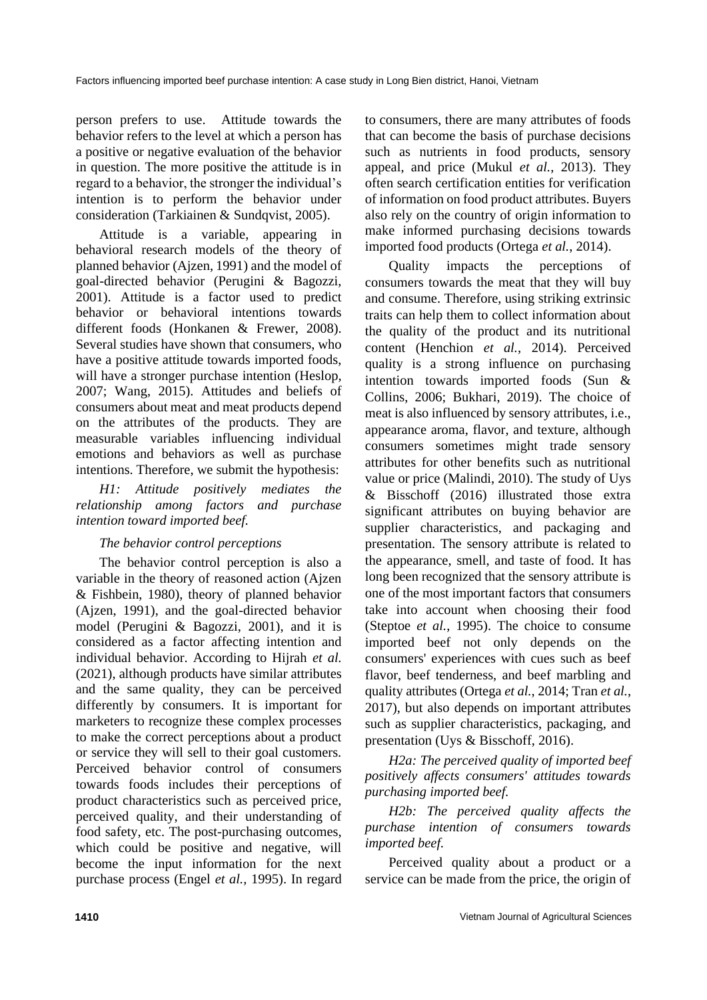person prefers to use. Attitude towards the behavior refers to the level at which a person has a positive or negative evaluation of the behavior in question. The more positive the attitude is in regard to a behavior, the stronger the individual's intention is to perform the behavior under consideration (Tarkiainen & Sundqvist, 2005).

Attitude is a variable, appearing in behavioral research models of the theory of planned behavior (Ajzen, 1991) and the model of goal-directed behavior (Perugini & Bagozzi, 2001). Attitude is a factor used to predict behavior or behavioral intentions towards different foods (Honkanen & Frewer, 2008). Several studies have shown that consumers, who have a positive attitude towards imported foods, will have a stronger purchase intention (Heslop, 2007; Wang, 2015). Attitudes and beliefs of consumers about meat and meat products depend on the attributes of the products. They are measurable variables influencing individual emotions and behaviors as well as purchase intentions. Therefore, we submit the hypothesis:

*H1: Attitude positively mediates the relationship among factors and purchase intention toward imported beef.*

## *The behavior control perceptions*

The behavior control perception is also a variable in the theory of reasoned action (Ajzen & Fishbein, 1980), theory of planned behavior (Ajzen, 1991), and the goal-directed behavior model (Perugini & Bagozzi, 2001), and it is considered as a factor affecting intention and individual behavior. According to Hijrah *et al.* (2021), although products have similar attributes and the same quality, they can be perceived differently by consumers. It is important for marketers to recognize these complex processes to make the correct perceptions about a product or service they will sell to their goal customers. Perceived behavior control of consumers towards foods includes their perceptions of product characteristics such as perceived price, perceived quality, and their understanding of food safety, etc. The post-purchasing outcomes, which could be positive and negative, will become the input information for the next purchase process (Engel *et al.*, 1995). In regard to consumers, there are many attributes of foods that can become the basis of purchase decisions such as nutrients in food products, sensory appeal, and price (Mukul *et al.*, 2013). They often search certification entities for verification of information on food product attributes. Buyers also rely on the country of origin information to make informed purchasing decisions towards imported food products (Ortega *et al.*, 2014).

Quality impacts the perceptions of consumers towards the meat that they will buy and consume. Therefore, using striking extrinsic traits can help them to collect information about the quality of the product and its nutritional content (Henchion *et al.*, 2014). Perceived quality is a strong influence on purchasing intention towards imported foods (Sun & Collins, 2006; Bukhari, 2019). The choice of meat is also influenced by sensory attributes, i.e., appearance aroma, flavor, and texture, although consumers sometimes might trade sensory attributes for other benefits such as nutritional value or price (Malindi, 2010). The study of Uys & Bisschoff (2016) illustrated those extra significant attributes on buying behavior are supplier characteristics, and packaging and presentation. The sensory attribute is related to the appearance, smell, and taste of food. It has long been recognized that the sensory attribute is one of the most important factors that consumers take into account when choosing their food (Steptoe *et al.*, 1995). The choice to consume imported beef not only depends on the consumers' experiences with cues such as beef flavor, beef tenderness, and beef marbling and quality attributes (Ortega *et al.*, 2014; Tran *et al.*, 2017), but also depends on important attributes such as supplier characteristics, packaging, and presentation (Uys & Bisschoff, 2016).

*H2a: The perceived quality of imported beef positively affects consumers' attitudes towards purchasing imported beef.*

*H2b: The perceived quality affects the purchase intention of consumers towards imported beef.* 

Perceived quality about a product or a service can be made from the price, the origin of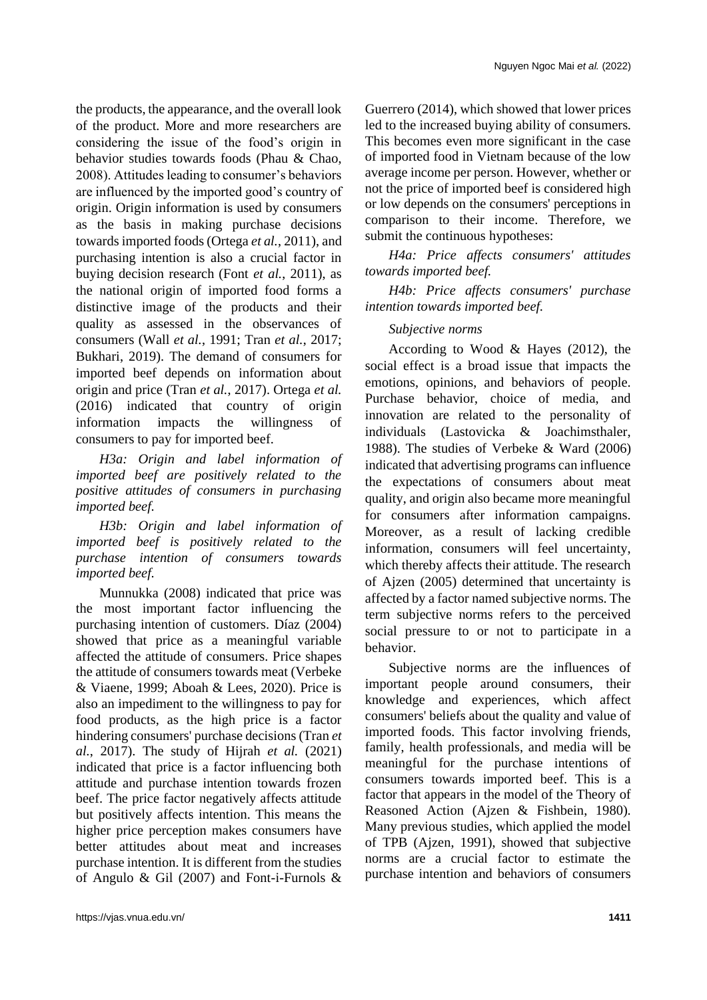the products, the appearance, and the overall look of the product. More and more researchers are considering the issue of the food's origin in behavior studies towards foods (Phau & Chao, 2008). Attitudes leading to consumer's behaviors are influenced by the imported good's country of origin. Origin information is used by consumers as the basis in making purchase decisions towards imported foods (Ortega *et al.*, 2011), and purchasing intention is also a crucial factor in buying decision research (Font *et al.*, 2011), as the national origin of imported food forms a distinctive image of the products and their quality as assessed in the observances of consumers (Wall *et al.*, 1991; Tran *et al.*, 2017; Bukhari, 2019). The demand of consumers for imported beef depends on information about origin and price (Tran *et al.*, 2017). Ortega *et al.* (2016) indicated that country of origin information impacts the willingness of consumers to pay for imported beef.

*H3a: Origin and label information of imported beef are positively related to the positive attitudes of consumers in purchasing imported beef.* 

*H3b: Origin and label information of imported beef is positively related to the purchase intention of consumers towards imported beef.*

Munnukka (2008) indicated that price was the most important factor influencing the purchasing intention of customers. Díaz (2004) showed that price as a meaningful variable affected the attitude of consumers. Price shapes the attitude of consumers towards meat (Verbeke & Viaene, 1999; Aboah & Lees, 2020). Price is also an impediment to the willingness to pay for food products, as the high price is a factor hindering consumers' purchase decisions (Tran *et al.*, 2017). The study of Hijrah *et al.* (2021) indicated that price is a factor influencing both attitude and purchase intention towards frozen beef. The price factor negatively affects attitude but positively affects intention. This means the higher price perception makes consumers have better attitudes about meat and increases purchase intention. It is different from the studies of Angulo & Gil (2007) and Font-i-Furnols &

Guerrero (2014), which showed that lower prices led to the increased buying ability of consumers. This becomes even more significant in the case of imported food in Vietnam because of the low average income per person. However, whether or not the price of imported beef is considered high or low depends on the consumers' perceptions in comparison to their income. Therefore, we submit the continuous hypotheses:

*H4a: Price affects consumers' attitudes towards imported beef.*

*H4b: Price affects consumers' purchase intention towards imported beef.*

#### *Subjective norms*

According to Wood & Hayes (2012), the social effect is a broad issue that impacts the emotions, opinions, and behaviors of people. Purchase behavior, choice of media, and innovation are related to the personality of individuals (Lastovicka & Joachimsthaler, 1988). The studies of Verbeke & Ward (2006) indicated that advertising programs can influence the expectations of consumers about meat quality, and origin also became more meaningful for consumers after information campaigns. Moreover, as a result of lacking credible information, consumers will feel uncertainty, which thereby affects their attitude. The research of Ajzen (2005) determined that uncertainty is affected by a factor named subjective norms. The term subjective norms refers to the perceived social pressure to or not to participate in a behavior.

Subjective norms are the influences of important people around consumers, their knowledge and experiences, which affect consumers' beliefs about the quality and value of imported foods. This factor involving friends, family, health professionals, and media will be meaningful for the purchase intentions of consumers towards imported beef. This is a factor that appears in the model of the Theory of Reasoned Action (Ajzen & Fishbein, 1980). Many previous studies, which applied the model of TPB (Ajzen, 1991), showed that subjective norms are a crucial factor to estimate the purchase intention and behaviors of consumers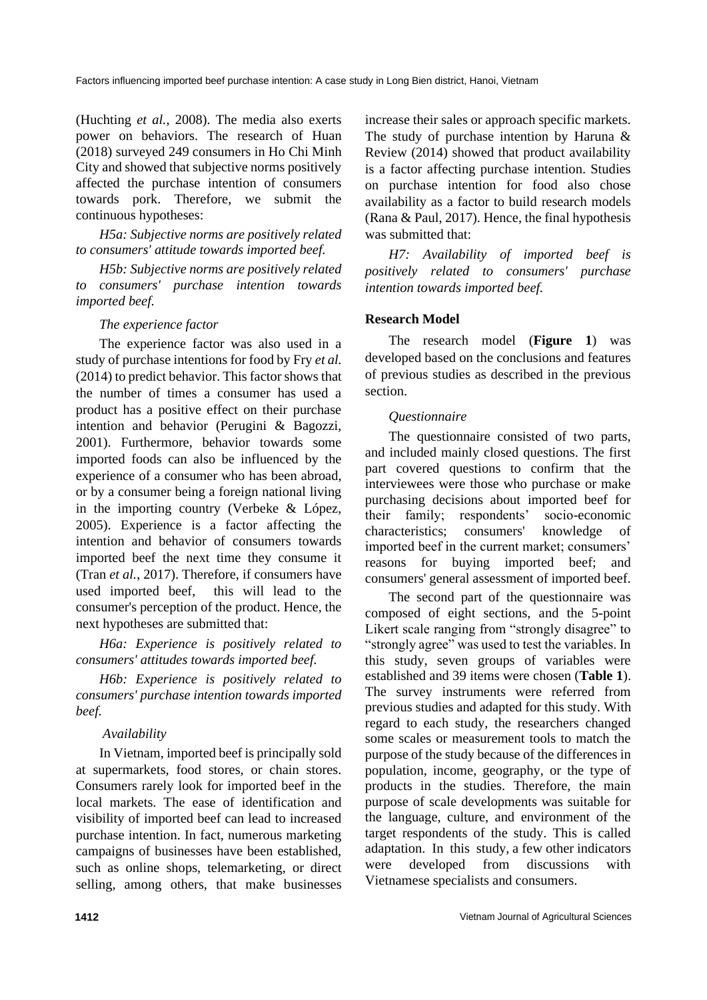(Huchting *et al.*, 2008). The media also exerts power on behaviors. The research of Huan (2018) surveyed 249 consumers in Ho Chi Minh City and showed that subjective norms positively affected the purchase intention of consumers towards pork. Therefore, we submit the continuous hypotheses:

*H5a: Subjective norms are positively related to consumers' attitude towards imported beef.*

*H5b: Subjective norms are positively related to consumers' purchase intention towards imported beef.*

## *The experience factor*

The experience factor was also used in a study of purchase intentions for food by Fry *et al.* (2014) to predict behavior. This factor shows that the number of times a consumer has used a product has a positive effect on their purchase intention and behavior (Perugini & Bagozzi, 2001). Furthermore, behavior towards some imported foods can also be influenced by the experience of a consumer who has been abroad, or by a consumer being a foreign national living in the importing country (Verbeke & López, 2005). Experience is a factor affecting the intention and behavior of consumers towards imported beef the next time they consume it (Tran *et al.*, 2017). Therefore, if consumers have used imported beef, this will lead to the consumer's perception of the product. Hence, the next hypotheses are submitted that:

*H6a: Experience is positively related to consumers' attitudes towards imported beef.*

*H6b: Experience is positively related to consumers' purchase intention towards imported beef.*

## *Availability*

In Vietnam, imported beef is principally sold at supermarkets, food stores, or chain stores. Consumers rarely look for imported beef in the local markets. The ease of identification and visibility of imported beef can lead to increased purchase intention. In fact, numerous marketing campaigns of businesses have been established, such as online shops, telemarketing, or direct selling, among others, that make businesses

increase their sales or approach specific markets. The study of purchase intention by Haruna & Review (2014) showed that product availability is a factor affecting purchase intention. Studies on purchase intention for food also chose availability as a factor to build research models (Rana & Paul, 2017). Hence, the final hypothesis was submitted that:

*H7: Availability of imported beef is positively related to consumers' purchase intention towards imported beef.*

## **Research Model**

The research model (**Figure 1**) was developed based on the conclusions and features of previous studies as described in the previous section.

## *Questionnaire*

The questionnaire consisted of two parts, and included mainly closed questions. The first part covered questions to confirm that the interviewees were those who purchase or make purchasing decisions about imported beef for their family; respondents' socio-economic characteristics; consumers' knowledge of imported beef in the current market; consumers' reasons for buying imported beef; and consumers' general assessment of imported beef.

The second part of the questionnaire was composed of eight sections, and the 5-point Likert scale ranging from "strongly disagree" to "strongly agree" was used to test the variables. In this study, seven groups of variables were established and 39 items were chosen (**Table 1**). The survey instruments were referred from previous studies and adapted for this study. With regard to each study, the researchers changed some scales or measurement tools to match the purpose of the study because of the differences in population, income, geography, or the type of products in the studies. Therefore, the main purpose of scale developments was suitable for the language, culture, and environment of the target respondents of the study. This is called adaptation. In this study, a few other indicators were developed from discussions with Vietnamese specialists and consumers.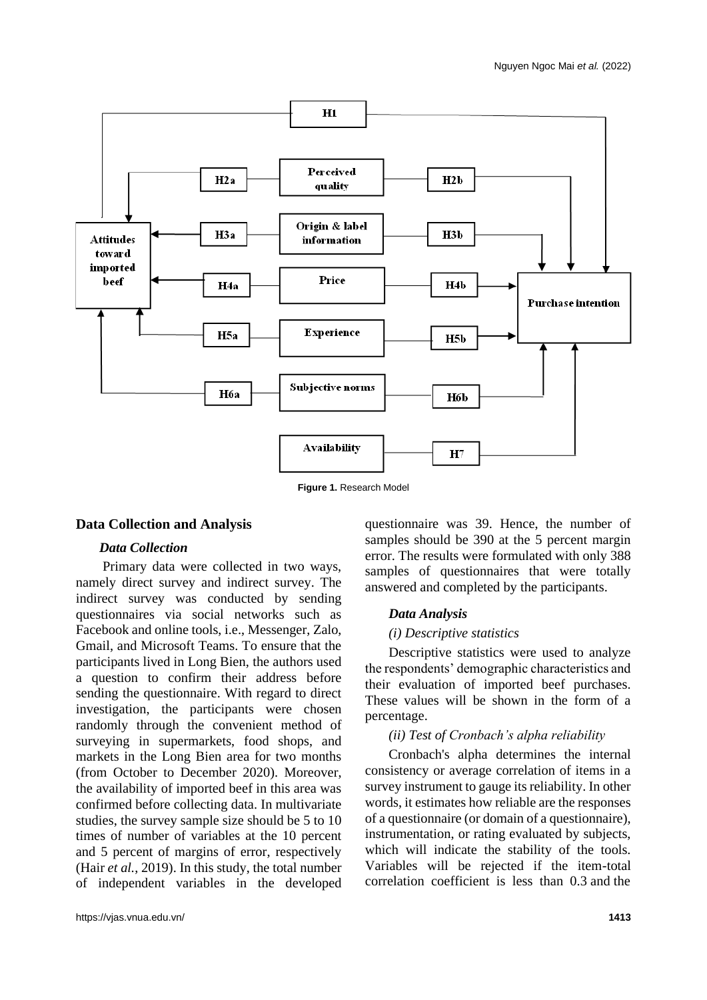

**Figure 1.** Research Model

#### **Data Collection and Analysis**

#### *Data Collection*

Primary data were collected in two ways, namely direct survey and indirect survey. The indirect survey was conducted by sending questionnaires via social networks such as Facebook and online tools, i.e., Messenger, Zalo, Gmail, and Microsoft Teams. To ensure that the participants lived in Long Bien, the authors used a question to confirm their address before sending the questionnaire. With regard to direct investigation, the participants were chosen randomly through the convenient method of surveying in supermarkets, food shops, and markets in the Long Bien area for two months (from October to December 2020). Moreover, the availability of imported beef in this area was confirmed before collecting data. In multivariate studies, the survey sample size should be 5 to 10 times of number of variables at the 10 percent and 5 percent of margins of error, respectively (Hair *et al.*, 2019). In this study, the total number of independent variables in the developed

questionnaire was 39. Hence, the number of samples should be 390 at the 5 percent margin error. The results were formulated with only 388 samples of questionnaires that were totally answered and completed by the participants.

## *Data Analysis*

## *(i) Descriptive statistics*

Descriptive statistics were used to analyze the respondents' demographic characteristics and their evaluation of imported beef purchases. These values will be shown in the form of a percentage.

## *(ii) Test of Cronbach's alpha reliability*

Cronbach's alpha determines the internal consistency or average correlation of items in a survey instrument to gauge its reliability. In other words, it estimates how reliable are the responses of a questionnaire (or domain of a questionnaire), instrumentation, or rating evaluated by subjects, which will indicate the stability of the tools. Variables will be rejected if the item-total correlation coefficient is less than 0.3 and the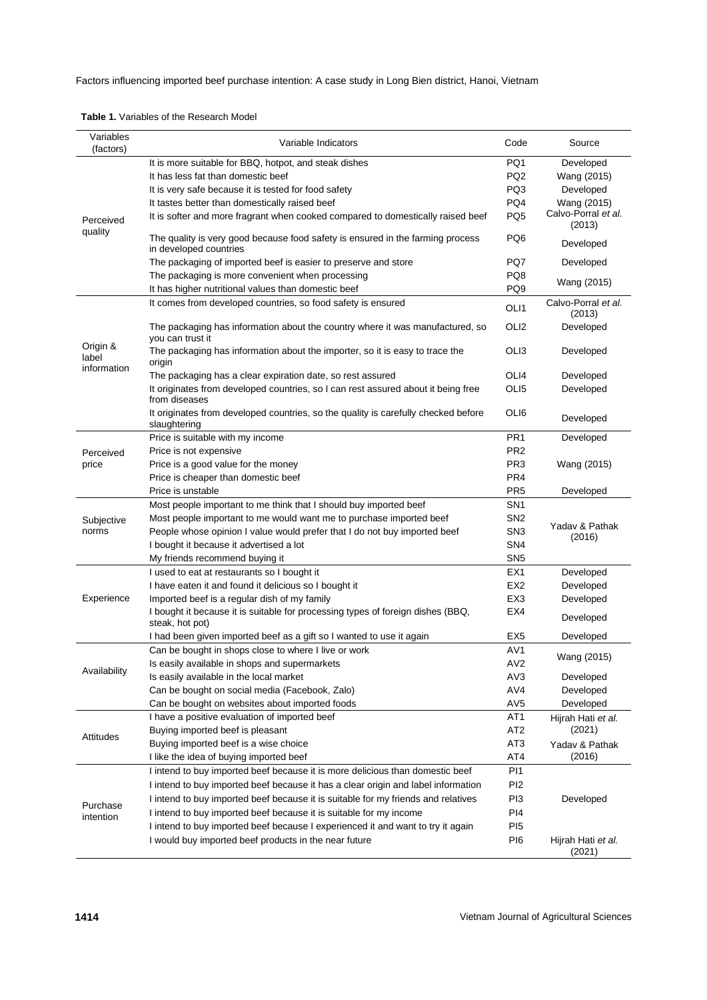| Variables<br>(factors) | Variable Indicators                                                                                      | Code             | Source                        |
|------------------------|----------------------------------------------------------------------------------------------------------|------------------|-------------------------------|
|                        | It is more suitable for BBQ, hotpot, and steak dishes                                                    | PQ1              | Developed                     |
|                        | It has less fat than domestic beef                                                                       | PQ <sub>2</sub>  | Wang (2015)                   |
| Perceived<br>quality   | It is very safe because it is tested for food safety                                                     | PQ3              | Developed                     |
|                        | It tastes better than domestically raised beef                                                           | PQ4              | Wang (2015)                   |
|                        | It is softer and more fragrant when cooked compared to domestically raised beef                          | PQ <sub>5</sub>  | Calvo-Porral et al.<br>(2013) |
|                        | The quality is very good because food safety is ensured in the farming process<br>in developed countries | PQ6              | Developed                     |
|                        | The packaging of imported beef is easier to preserve and store                                           | PQ7              | Developed                     |
|                        | The packaging is more convenient when processing                                                         | PQ8              |                               |
|                        | It has higher nutritional values than domestic beef                                                      | PQ <sub>9</sub>  | Wang (2015)                   |
|                        | It comes from developed countries, so food safety is ensured                                             | OLI1             | Calvo-Porral et al.<br>(2013) |
|                        | The packaging has information about the country where it was manufactured, so<br>you can trust it        | OLI <sub>2</sub> | Developed                     |
| Origin &<br>label      | The packaging has information about the importer, so it is easy to trace the<br>origin                   | OL <sub>13</sub> | Developed                     |
| information            | The packaging has a clear expiration date, so rest assured                                               | OLI4             | Developed                     |
|                        | It originates from developed countries, so I can rest assured about it being free<br>from diseases       | OLI <sub>5</sub> | Developed                     |
|                        | It originates from developed countries, so the quality is carefully checked before<br>slaughtering       | OLI6             | Developed                     |
|                        | Price is suitable with my income                                                                         | PR1              | Developed                     |
| Perceived              | Price is not expensive                                                                                   | PR <sub>2</sub>  |                               |
| price                  | Price is a good value for the money                                                                      | PR3              | Wang (2015)                   |
|                        | Price is cheaper than domestic beef                                                                      | PR <sub>4</sub>  |                               |
|                        | Price is unstable                                                                                        | PR5              | Developed                     |
|                        | Most people important to me think that I should buy imported beef                                        | SN1              |                               |
| Subjective             | Most people important to me would want me to purchase imported beef                                      | SN <sub>2</sub>  |                               |
| norms                  | People whose opinion I value would prefer that I do not buy imported beef                                | SN <sub>3</sub>  | Yadav & Pathak                |
|                        | I bought it because it advertised a lot                                                                  | SN <sub>4</sub>  | (2016)                        |
|                        | My friends recommend buying it                                                                           | SN <sub>5</sub>  |                               |
|                        | I used to eat at restaurants so I bought it                                                              | EX1              | Developed                     |
|                        | I have eaten it and found it delicious so I bought it                                                    | EX <sub>2</sub>  | Developed                     |
| Experience             | Imported beef is a regular dish of my family                                                             | EX3              | Developed                     |
|                        | I bought it because it is suitable for processing types of foreign dishes (BBQ,<br>steak, hot pot)       | EX4              | Developed                     |
|                        | I had been given imported beef as a gift so I wanted to use it again                                     | EX <sub>5</sub>  | Developed                     |
|                        | Can be bought in shops close to where I live or work                                                     | AV <sub>1</sub>  |                               |
|                        | Is easily available in shops and supermarkets                                                            | AV <sub>2</sub>  | Wang (2015)                   |
| Availability           | Is easily available in the local market                                                                  | AV3              | Developed                     |
|                        | Can be bought on social media (Facebook, Zalo)                                                           | AV4              | Developed                     |
|                        | Can be bought on websites about imported foods                                                           | AV <sub>5</sub>  | Developed                     |
|                        | I have a positive evaluation of imported beef                                                            | AT <sub>1</sub>  | Hijrah Hati et al.            |
| Attitudes              | Buying imported beef is pleasant                                                                         | AT <sub>2</sub>  | (2021)                        |
|                        | Buying imported beef is a wise choice                                                                    | AT <sub>3</sub>  | Yadav & Pathak                |
|                        | I like the idea of buying imported beef                                                                  | AT4              | (2016)                        |
| Purchase<br>intention  | I intend to buy imported beef because it is more delicious than domestic beef                            | PI <sub>1</sub>  |                               |
|                        | I intend to buy imported beef because it has a clear origin and label information                        | PI <sub>2</sub>  |                               |
|                        | I intend to buy imported beef because it is suitable for my friends and relatives                        | PI3              | Developed                     |
|                        | I intend to buy imported beef because it is suitable for my income                                       | PI <sub>4</sub>  |                               |
|                        | I intend to buy imported beef because I experienced it and want to try it again                          | PI <sub>5</sub>  |                               |
|                        | I would buy imported beef products in the near future                                                    | PI <sub>6</sub>  | Hijrah Hati et al.<br>(2021)  |

**Table 1.** Variables of the Research Model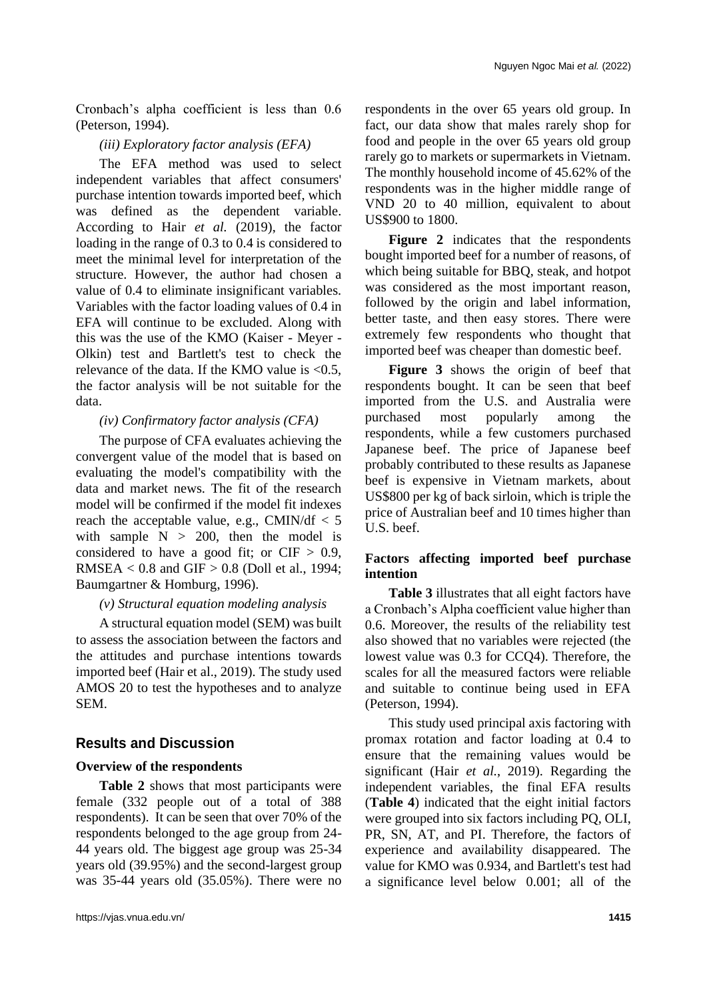Cronbach's alpha coefficient is less than 0.6 (Peterson, 1994).

#### *(iii) Exploratory factor analysis (EFA)*

The EFA method was used to select independent variables that affect consumers' purchase intention towards imported beef, which was defined as the dependent variable. According to Hair *et al.* (2019), the factor loading in the range of 0.3 to 0.4 is considered to meet the minimal level for interpretation of the structure. However, the author had chosen a value of 0.4 to eliminate insignificant variables. Variables with the factor loading values of 0.4 in EFA will continue to be excluded. Along with this was the use of the KMO (Kaiser - Meyer - Olkin) test and Bartlett's test to check the relevance of the data. If the KMO value is <0.5, the factor analysis will be not suitable for the data.

## *(iv) Confirmatory factor analysis (CFA)*

The purpose of CFA evaluates achieving the convergent value of the model that is based on evaluating the model's compatibility with the data and market news. The fit of the research model will be confirmed if the model fit indexes reach the acceptable value, e.g., CMIN/df  $<$  5 with sample  $N > 200$ , then the model is considered to have a good fit; or  $CIF > 0.9$ , RMSEA  $< 0.8$  and GIF  $> 0.8$  (Doll et al., 1994; Baumgartner & Homburg, 1996).

## *(v) Structural equation modeling analysis*

A structural equation model (SEM) was built to assess the association between the factors and the attitudes and purchase intentions towards imported beef (Hair et al., 2019). The study used AMOS 20 to test the hypotheses and to analyze SEM.

## **Results and Discussion**

## **Overview of the respondents**

**Table 2** shows that most participants were female (332 people out of a total of 388 respondents). It can be seen that over 70% of the respondents belonged to the age group from 24- 44 years old. The biggest age group was 25-34 years old (39.95%) and the second-largest group was 35-44 years old (35.05%). There were no respondents in the over 65 years old group. In fact, our data show that males rarely shop for food and people in the over 65 years old group rarely go to markets or supermarkets in Vietnam. The monthly household income of 45.62% of the respondents was in the higher middle range of VND 20 to 40 million, equivalent to about US\$900 to 1800.

**Figure 2** indicates that the respondents bought imported beef for a number of reasons, of which being suitable for BBQ, steak, and hotpot was considered as the most important reason, followed by the origin and label information, better taste, and then easy stores. There were extremely few respondents who thought that imported beef was cheaper than domestic beef.

**Figure 3** shows the origin of beef that respondents bought. It can be seen that beef imported from the U.S. and Australia were purchased most popularly among the respondents, while a few customers purchased Japanese beef. The price of Japanese beef probably contributed to these results as Japanese beef is expensive in Vietnam markets, about US\$800 per kg of back sirloin, which is triple the price of Australian beef and 10 times higher than U.S. beef.

## **Factors affecting imported beef purchase intention**

**Table 3** illustrates that all eight factors have a Cronbach's Alpha coefficient value higher than 0.6. Moreover, the results of the reliability test also showed that no variables were rejected (the lowest value was 0.3 for CCQ4). Therefore, the scales for all the measured factors were reliable and suitable to continue being used in EFA (Peterson, 1994).

This study used principal axis factoring with promax rotation and factor loading at 0.4 to ensure that the remaining values would be significant (Hair *et al.*, 2019). Regarding the independent variables, the final EFA results (**Table 4**) indicated that the eight initial factors were grouped into six factors including PQ, OLI, PR, SN, AT, and PI. Therefore, the factors of experience and availability disappeared. The value for KMO was 0.934, and Bartlett's test had a significance level below 0.001; all of the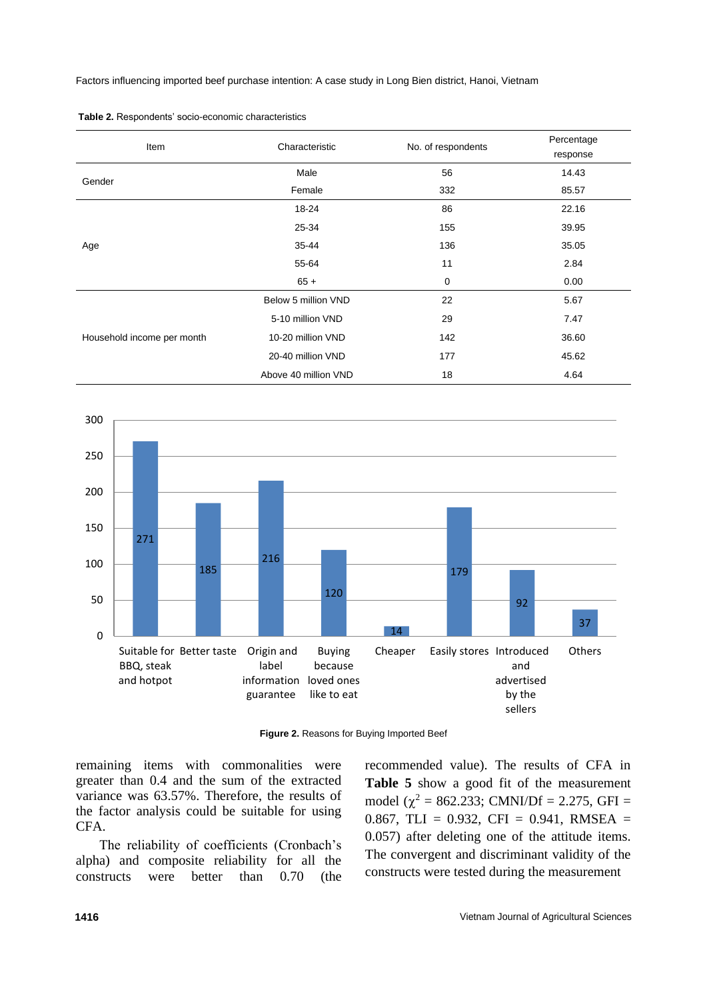| Item                       | Characteristic       | No. of respondents | Percentage<br>response |
|----------------------------|----------------------|--------------------|------------------------|
|                            | Male                 | 56                 | 14.43                  |
| Gender                     | Female               | 332                | 85.57                  |
|                            | 18-24                | 86                 | 22.16                  |
|                            | 25-34                | 155                | 39.95                  |
| Age                        | 35-44                | 136                | 35.05                  |
|                            | 55-64                | 11                 | 2.84                   |
|                            | $65+$                | 0                  | 0.00                   |
|                            | Below 5 million VND  | 22                 | 5.67                   |
|                            | 5-10 million VND     | 29                 | 7.47                   |
| Household income per month | 10-20 million VND    | 142                | 36.60                  |
|                            | 20-40 million VND    | 177                | 45.62                  |
|                            | Above 40 million VND | 18                 | 4.64                   |





**Figure 2.** Reasons for Buying Imported Beef

remaining items with commonalities were greater than 0.4 and the sum of the extracted variance was 63.57%. Therefore, the results of the factor analysis could be suitable for using CFA.

The reliability of coefficients (Cronbach's alpha) and composite reliability for all the constructs were better than 0.70 (the recommended value). The results of CFA in **Table 5** show a good fit of the measurement model ( $\chi^2 = 862.233$ ; CMNI/Df = 2.275, GFI = 0.867, TLI = 0.932, CFI = 0.941, RMSEA = 0.057) after deleting one of the attitude items. The convergent and discriminant validity of the constructs were tested during the measurement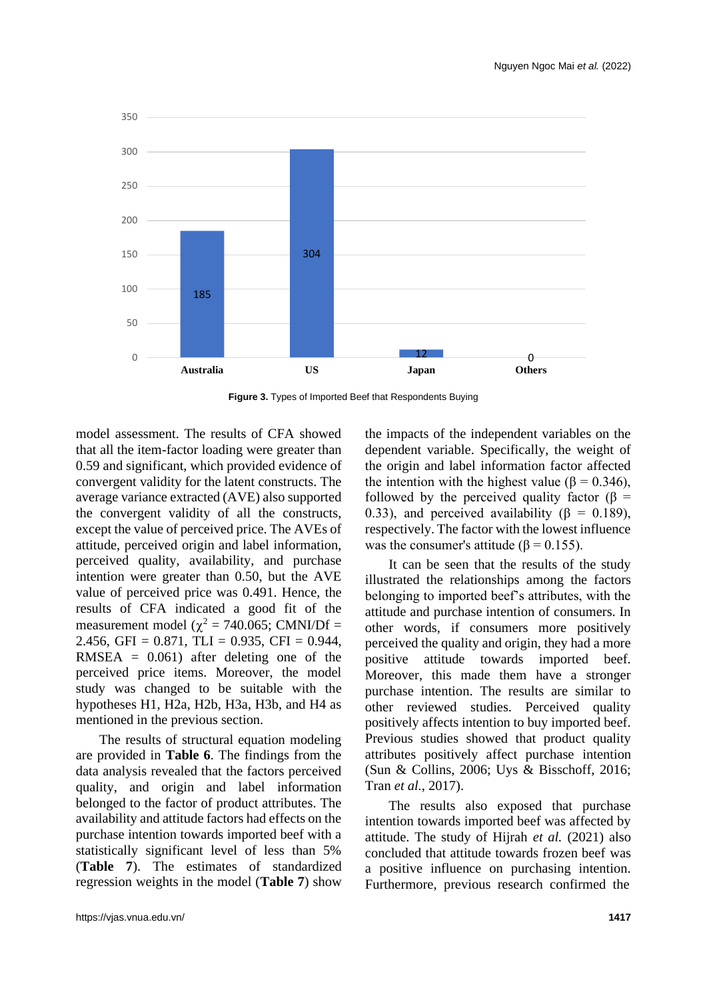

**Figure 3.** Types of Imported Beef that Respondents Buying

model assessment. The results of CFA showed that all the item-factor loading were greater than 0.59 and significant, which provided evidence of convergent validity for the latent constructs. The average variance extracted (AVE) also supported the convergent validity of all the constructs, except the value of perceived price. The AVEs of attitude, perceived origin and label information, perceived quality, availability, and purchase intention were greater than 0.50, but the AVE value of perceived price was 0.491. Hence, the results of CFA indicated a good fit of the measurement model ( $\chi^2$  = 740.065; CMNI/Df = 2.456, GFI =  $0.871$ , TLI =  $0.935$ , CFI =  $0.944$ , RMSEA  $= 0.061$ ) after deleting one of the perceived price items. Moreover, the model study was changed to be suitable with the hypotheses H1, H2a, H2b, H3a, H3b, and H4 as mentioned in the previous section.

The results of structural equation modeling are provided in **Table 6**. The findings from the data analysis revealed that the factors perceived quality, and origin and label information belonged to the factor of product attributes. The availability and attitude factors had effects on the purchase intention towards imported beef with a statistically significant level of less than 5% (**Table 7**). The estimates of standardized regression weights in the model (**Table 7**) show

the impacts of the independent variables on the dependent variable. Specifically, the weight of the origin and label information factor affected the intention with the highest value (β = 0.346), followed by the perceived quality factor ( $\beta$  = 0.33), and perceived availability ( $\beta = 0.189$ ), respectively. The factor with the lowest influence was the consumer's attitude ( $\beta = 0.155$ ).

It can be seen that the results of the study illustrated the relationships among the factors belonging to imported beef's attributes, with the attitude and purchase intention of consumers. In other words, if consumers more positively perceived the quality and origin, they had a more positive attitude towards imported beef. Moreover, this made them have a stronger purchase intention. The results are similar to other reviewed studies. Perceived quality positively affects intention to buy imported beef. Previous studies showed that product quality attributes positively affect purchase intention (Sun & Collins, 2006; Uys & Bisschoff, 2016; Tran *et al.*, 2017).

The results also exposed that purchase intention towards imported beef was affected by attitude. The study of Hijrah *et al.* (2021) also concluded that attitude towards frozen beef was a positive influence on purchasing intention. Furthermore, previous research confirmed the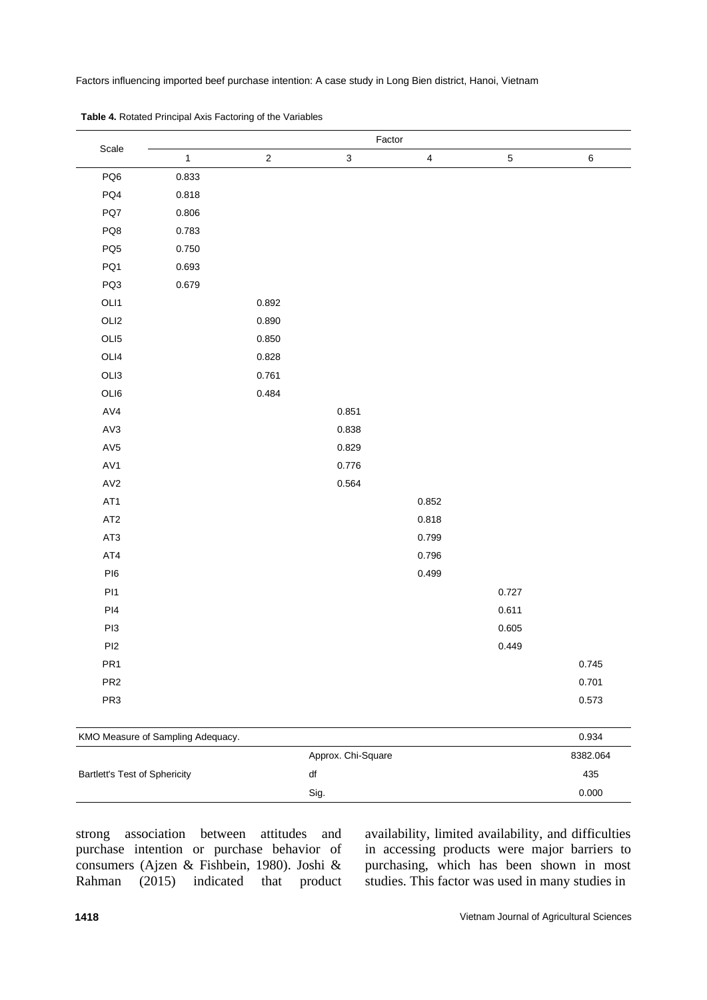| Scale                             | Factor       |            |                           |           |             |          |  |
|-----------------------------------|--------------|------------|---------------------------|-----------|-------------|----------|--|
|                                   | $\mathbf{1}$ | $\sqrt{2}$ | $\ensuremath{\mathsf{3}}$ | $\pmb{4}$ | $\,$ 5 $\,$ | $\,6$    |  |
| PQ6                               | 0.833        |            |                           |           |             |          |  |
| PQ4                               | 0.818        |            |                           |           |             |          |  |
| PQ7                               | 0.806        |            |                           |           |             |          |  |
| PQ8                               | 0.783        |            |                           |           |             |          |  |
| PQ <sub>5</sub>                   | 0.750        |            |                           |           |             |          |  |
| PQ1                               | 0.693        |            |                           |           |             |          |  |
| PQ3                               | 0.679        |            |                           |           |             |          |  |
| OLI1                              |              | 0.892      |                           |           |             |          |  |
| OLI <sub>2</sub>                  |              | 0.890      |                           |           |             |          |  |
| OLI5                              |              | 0.850      |                           |           |             |          |  |
| OLI4                              |              | 0.828      |                           |           |             |          |  |
| OLI3                              |              | 0.761      |                           |           |             |          |  |
| OLI6                              |              | 0.484      |                           |           |             |          |  |
| AV4                               |              |            | 0.851                     |           |             |          |  |
| AV3                               |              |            | 0.838                     |           |             |          |  |
| AV5                               |              |            | 0.829                     |           |             |          |  |
| AV1                               |              |            | 0.776                     |           |             |          |  |
| AV2                               |              |            | 0.564                     |           |             |          |  |
| AT1                               |              |            |                           | 0.852     |             |          |  |
| AT2                               |              |            |                           | 0.818     |             |          |  |
| AT3                               |              |            |                           | 0.799     |             |          |  |
| AT4                               |              |            |                           | 0.796     |             |          |  |
| PI6                               |              |            |                           | 0.499     |             |          |  |
| PI <sub>1</sub>                   |              |            |                           |           | 0.727       |          |  |
| PI4                               |              |            |                           |           | 0.611       |          |  |
| PI3                               |              |            |                           |           | 0.605       |          |  |
| PI2                               |              |            |                           |           | 0.449       |          |  |
| PR <sub>1</sub>                   |              |            |                           |           |             | 0.745    |  |
| PR <sub>2</sub>                   |              |            |                           |           |             | 0.701    |  |
| PR <sub>3</sub>                   |              |            |                           |           |             | 0.573    |  |
| KMO Measure of Sampling Adequacy. |              |            |                           |           |             | 0.934    |  |
|                                   |              |            | Approx. Chi-Square        |           |             | 8382.064 |  |
| Bartlett's Test of Sphericity     |              |            | $\mathsf{df}$             |           |             | 435      |  |
|                                   |              | Sig.       |                           |           | 0.000       |          |  |

 **Table 4.** Rotated Principal Axis Factoring of the Variables

strong association between attitudes and purchase intention or purchase behavior of consumers (Ajzen & Fishbein, 1980). Joshi & Rahman (2015) indicated that product availability, limited availability, and difficulties in accessing products were major barriers to purchasing, which has been shown in most studies. This factor was used in many studies in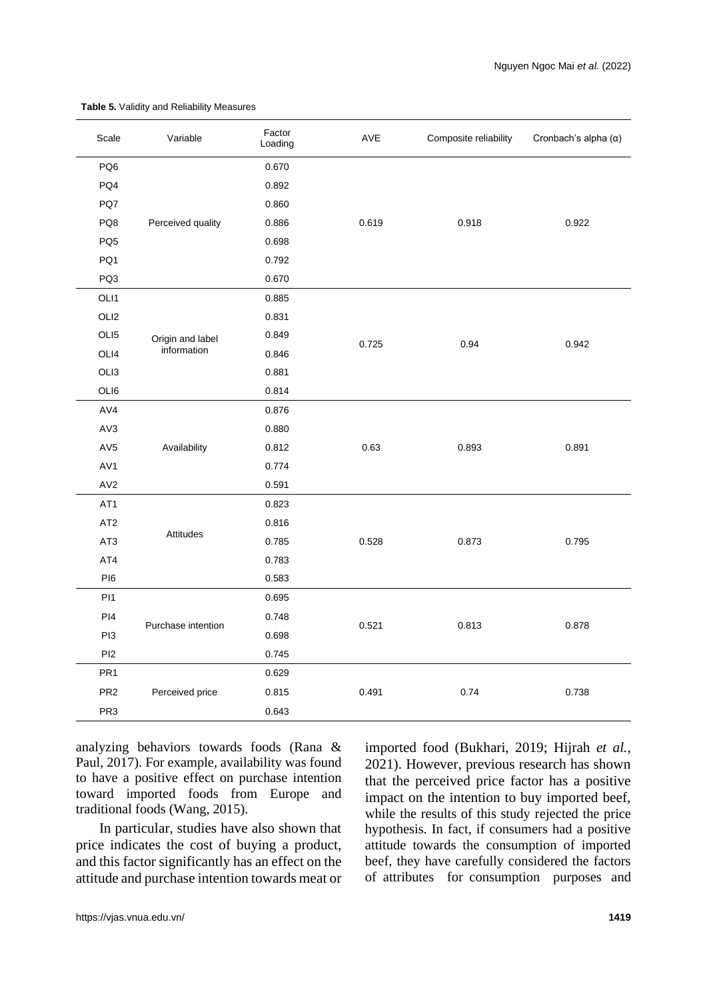| Scale            | Variable           | Factor<br>Loading | AVE   | Composite reliability | Cronbach's alpha $(\alpha)$ |  |
|------------------|--------------------|-------------------|-------|-----------------------|-----------------------------|--|
| PQ <sub>6</sub>  |                    | 0.670             |       |                       |                             |  |
| PQ4              |                    | 0.892             | 0.619 | 0.918                 | 0.922                       |  |
| PQ7              | Perceived quality  | 0.860             |       |                       |                             |  |
| PQ8              |                    | 0.886             |       |                       |                             |  |
| PQ <sub>5</sub>  |                    | 0.698             |       |                       |                             |  |
| PQ1              |                    | 0.792             |       |                       |                             |  |
| PQ3              |                    | 0.670             |       |                       |                             |  |
| OLI1             |                    | 0.885             |       | 0.94                  | 0.942                       |  |
| OLI <sub>2</sub> |                    | 0.831             |       |                       |                             |  |
| OLI5             | Origin and label   | 0.849             | 0.725 |                       |                             |  |
| OLI4             | information        | 0.846             |       |                       |                             |  |
| OLI3             |                    | 0.881             |       |                       |                             |  |
| OLI6             |                    | 0.814             |       |                       |                             |  |
| AV4              |                    | 0.876             |       | 0.893                 | 0.891                       |  |
| AV3              |                    | 0.880             |       |                       |                             |  |
| AV <sub>5</sub>  | Availability       | 0.812             | 0.63  |                       |                             |  |
| AV1              |                    | 0.774             |       |                       |                             |  |
| AV <sub>2</sub>  |                    | 0.591             |       |                       |                             |  |
| AT1              |                    | 0.823             |       |                       |                             |  |
| AT <sub>2</sub>  |                    | 0.816             |       |                       |                             |  |
| AT <sub>3</sub>  | Attitudes          | 0.785             | 0.528 | 0.873                 | 0.795                       |  |
| AT4              |                    | 0.783             |       |                       |                             |  |
| PI6              |                    | 0.583             |       |                       |                             |  |
| PI <sub>1</sub>  |                    | 0.695             |       | 0.813                 | 0.878                       |  |
| PI4              | Purchase intention | 0.748             | 0.521 |                       |                             |  |
| PI3              |                    | 0.698             |       |                       |                             |  |
| PI <sub>2</sub>  |                    | 0.745             |       |                       |                             |  |
| PR <sub>1</sub>  |                    | 0.629             |       |                       |                             |  |
| PR <sub>2</sub>  | Perceived price    | 0.815             | 0.491 | 0.74                  | 0.738                       |  |
| PR <sub>3</sub>  |                    | 0.643             |       |                       |                             |  |

 **Table 5.** Validity and Reliability Measures

analyzing behaviors towards foods (Rana & Paul, 2017). For example, availability was found to have a positive effect on purchase intention toward imported foods from Europe and traditional foods (Wang, 2015).

In particular, studies have also shown that price indicates the cost of buying a product, and this factor significantly has an effect on the attitude and purchase intention towards meat or

imported food (Bukhari, 2019; Hijrah *et al.*, 2021). However, previous research has shown that the perceived price factor has a positive impact on the intention to buy imported beef, while the results of this study rejected the price hypothesis. In fact, if consumers had a positive attitude towards the consumption of imported beef, they have carefully considered the factors of attributes for consumption purposes and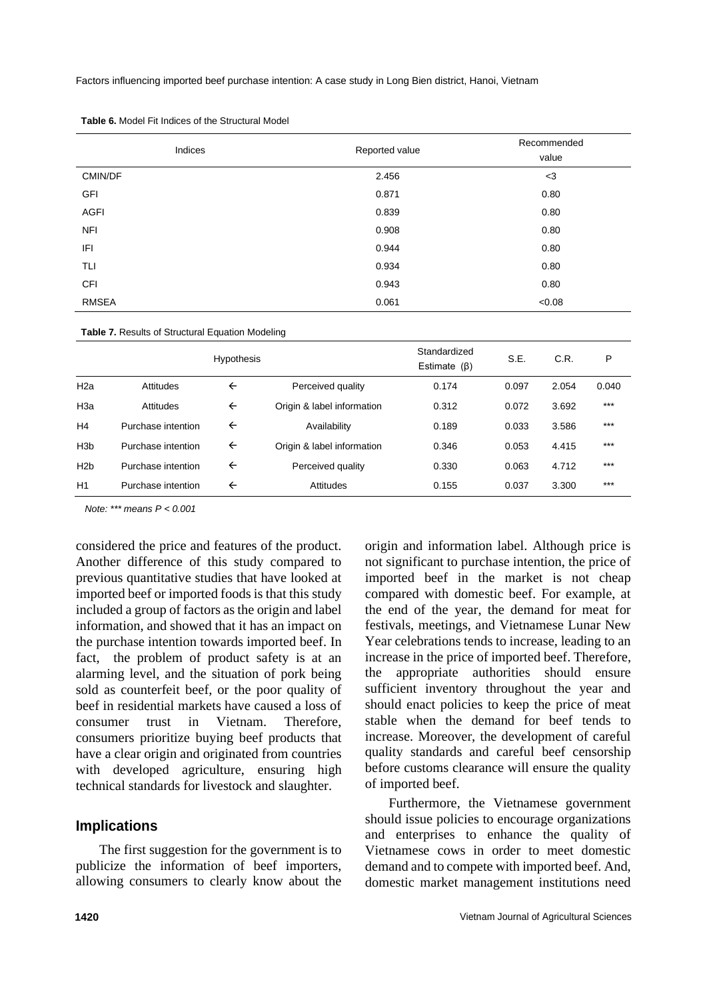| Indices      | Reported value | Recommended<br>value |  |
|--------------|----------------|----------------------|--|
| CMIN/DF      | 2.456          | $<$ 3                |  |
| <b>GFI</b>   | 0.871          | 0.80                 |  |
| <b>AGFI</b>  | 0.839          | 0.80                 |  |
| <b>NFI</b>   | 0.908          | 0.80                 |  |
| IFI          | 0.944          | 0.80                 |  |
| TLI          | 0.934          | 0.80                 |  |
| <b>CFI</b>   | 0.943          | 0.80                 |  |
| <b>RMSEA</b> | 0.061          | < 0.08               |  |

 **Table 6.** Model Fit Indices of the Structural Model

 **Table 7.** Results of Structural Equation Modeling

|                  |                    | <b>Hypothesis</b> |                            | Standardized<br>Estimate $(\beta)$ | S.E.  | C.R.  | P     |
|------------------|--------------------|-------------------|----------------------------|------------------------------------|-------|-------|-------|
| H <sub>2a</sub>  | Attitudes          | $\leftarrow$      | Perceived quality          | 0.174                              | 0.097 | 2.054 | 0.040 |
| H <sub>3</sub> a | Attitudes          | $\leftarrow$      | Origin & label information | 0.312                              | 0.072 | 3.692 | $***$ |
| H <sub>4</sub>   | Purchase intention | $\leftarrow$      | Availability               | 0.189                              | 0.033 | 3.586 | $***$ |
| H <sub>3</sub> b | Purchase intention | $\leftarrow$      | Origin & label information | 0.346                              | 0.053 | 4.415 | $***$ |
| H2b              | Purchase intention | $\leftarrow$      | Perceived quality          | 0.330                              | 0.063 | 4.712 | $***$ |
| H1               | Purchase intention | $\leftarrow$      | Attitudes                  | 0.155                              | 0.037 | 3.300 | $***$ |

*Note: \*\*\* means P < 0.001*

considered the price and features of the product. Another difference of this study compared to previous quantitative studies that have looked at imported beef or imported foods is that this study included a group of factors as the origin and label information, and showed that it has an impact on the purchase intention towards imported beef. In fact, the problem of product safety is at an alarming level, and the situation of pork being sold as counterfeit beef, or the poor quality of beef in residential markets have caused a loss of consumer trust in Vietnam. Therefore, consumers prioritize buying beef products that have a clear origin and originated from countries with developed agriculture, ensuring high technical standards for livestock and slaughter.

#### **Implications**

The first suggestion for the government is to publicize the information of beef importers, allowing consumers to clearly know about the

origin and information label. Although price is not significant to purchase intention, the price of imported beef in the market is not cheap compared with domestic beef. For example, at the end of the year, the demand for meat for festivals, meetings, and Vietnamese Lunar New Year celebrations tends to increase, leading to an increase in the price of imported beef. Therefore, the appropriate authorities should ensure sufficient inventory throughout the year and should enact policies to keep the price of meat stable when the demand for beef tends to increase. Moreover, the development of careful quality standards and careful beef censorship before customs clearance will ensure the quality of imported beef.

Furthermore, the Vietnamese government should issue policies to encourage organizations and enterprises to enhance the quality of Vietnamese cows in order to meet domestic demand and to compete with imported beef. And, domestic market management institutions need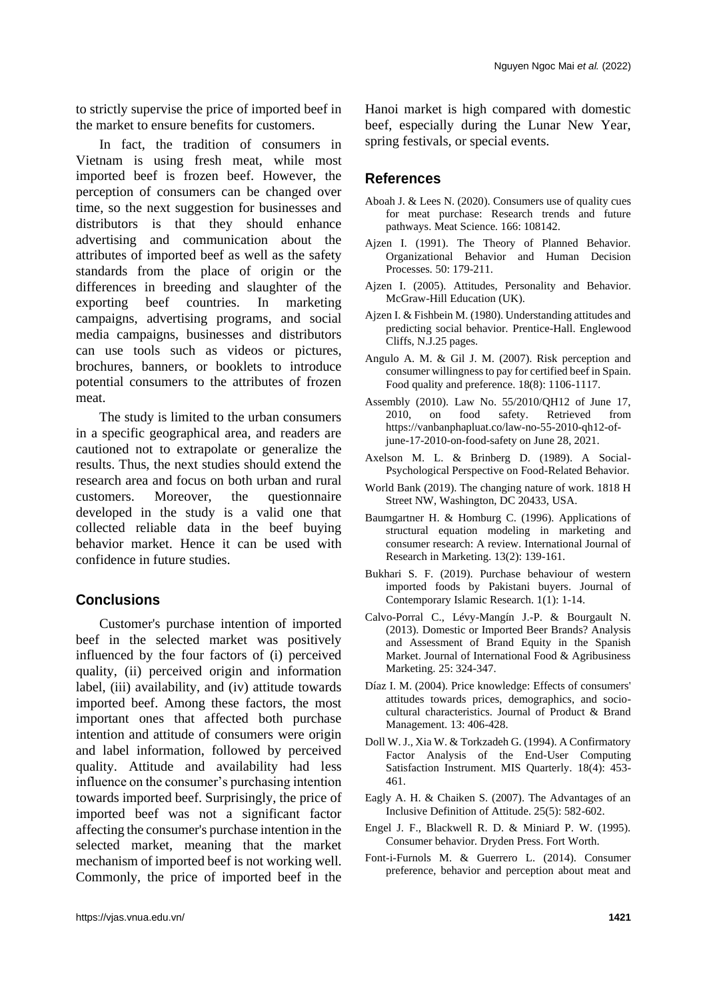to strictly supervise the price of imported beef in the market to ensure benefits for customers.

In fact, the tradition of consumers in Vietnam is using fresh meat, while most imported beef is frozen beef. However, the perception of consumers can be changed over time, so the next suggestion for businesses and distributors is that they should enhance advertising and communication about the attributes of imported beef as well as the safety standards from the place of origin or the differences in breeding and slaughter of the exporting beef countries. In marketing campaigns, advertising programs, and social media campaigns, businesses and distributors can use tools such as videos or pictures, brochures, banners, or booklets to introduce potential consumers to the attributes of frozen meat.

The study is limited to the urban consumers in a specific geographical area, and readers are cautioned not to extrapolate or generalize the results. Thus, the next studies should extend the research area and focus on both urban and rural customers. Moreover, the questionnaire developed in the study is a valid one that collected reliable data in the beef buying behavior market. Hence it can be used with confidence in future studies.

## **Conclusions**

Customer's purchase intention of imported beef in the selected market was positively influenced by the four factors of (i) perceived quality, (ii) perceived origin and information label, (iii) availability, and (iv) attitude towards imported beef. Among these factors, the most important ones that affected both purchase intention and attitude of consumers were origin and label information, followed by perceived quality. Attitude and availability had less influence on the consumer's purchasing intention towards imported beef. Surprisingly, the price of imported beef was not a significant factor affecting the consumer's purchase intention in the selected market, meaning that the market mechanism of imported beef is not working well. Commonly, the price of imported beef in the

Hanoi market is high compared with domestic beef, especially during the Lunar New Year, spring festivals, or special events.

## **References**

- Aboah J. & Lees N. (2020). Consumers use of quality cues for meat purchase: Research trends and future pathways. Meat Science*.* 166: 108142.
- Ajzen I. (1991). The Theory of Planned Behavior. Organizational Behavior and Human Decision Processes*.* 50: 179-211.
- Ajzen I. (2005). Attitudes, Personality and Behavior. McGraw-Hill Education (UK).
- Ajzen I. & Fishbein M. (1980). Understanding attitudes and predicting social behavior*.* Prentice-Hall. Englewood Cliffs, N.J.25 pages.
- Angulo A. M. & Gil J. M. (2007). Risk perception and consumer willingness to pay for certified beef in Spain. Food quality and preference. 18(8): 1106-1117.
- Assembly (2010). Law No. 55/2010/QH12 of June 17,<br>2010, on food safety. Retrieved from 2010, on food safety. Retrieved from https://vanbanphapluat.co/law-no-55-2010-qh12-ofjune-17-2010-on-food-safety on June 28, 2021.
- Axelson M. L. & Brinberg D. (1989). A Social-Psychological Perspective on Food-Related Behavior.
- World Bank (2019). The changing nature of work. 1818 H Street NW, Washington, DC 20433, USA.
- Baumgartner H. & Homburg C. (1996). Applications of structural equation modeling in marketing and consumer research: A review. International Journal of Research in Marketing*.* 13(2): 139-161.
- Bukhari S. F. (2019). Purchase behaviour of western imported foods by Pakistani buyers. Journal of Contemporary Islamic Research. 1(1): 1-14.
- Calvo-Porral C., Lévy-Mangín J.-P. & Bourgault N. (2013). Domestic or Imported Beer Brands? Analysis and Assessment of Brand Equity in the Spanish Market. Journal of International Food & Agribusiness Marketing*.* 25: 324-347.
- Díaz I. M. (2004). Price knowledge: Effects of consumers' attitudes towards prices, demographics, and sociocultural characteristics. Journal of Product & Brand Management*.* 13: 406-428.
- Doll W. J., Xia W. & Torkzadeh G. (1994). A Confirmatory Factor Analysis of the End-User Computing Satisfaction Instrument. MIS Quarterly*.* 18(4): 453- 461.
- Eagly A. H. & Chaiken S. (2007). The Advantages of an Inclusive Definition of Attitude. 25(5): 582-602.
- Engel J. F., Blackwell R. D. & Miniard P. W. (1995). Consumer behavior*.* Dryden Press. Fort Worth.
- Font-i-Furnols M. & Guerrero L. (2014). Consumer preference, behavior and perception about meat and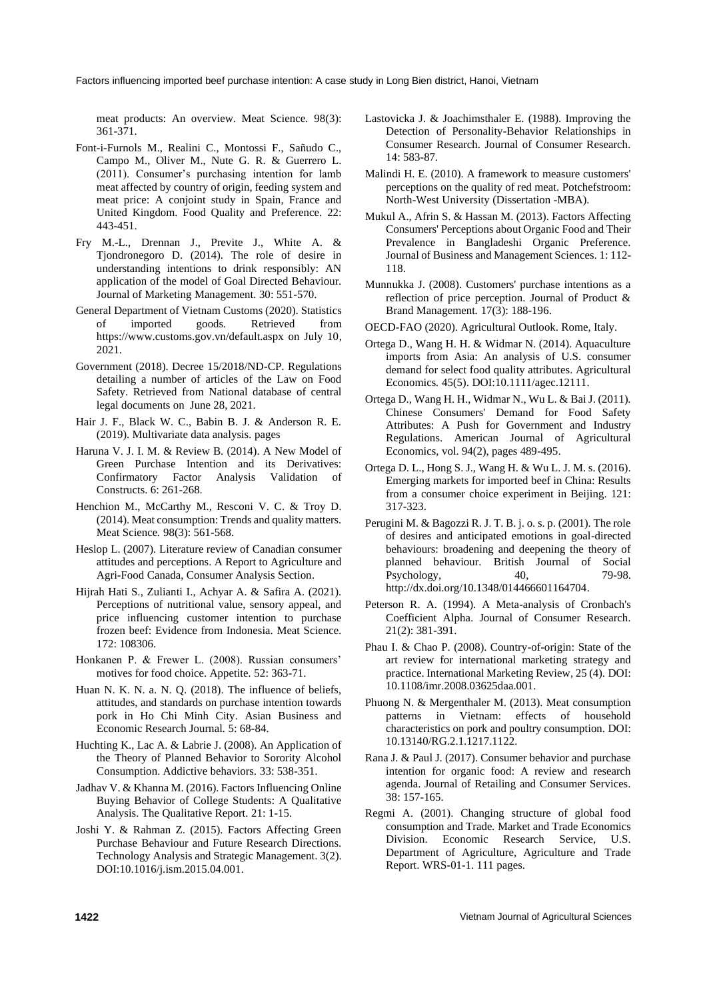meat products: An overview. Meat Science*.* 98(3): 361-371.

- Font-i-Furnols M., Realini C., Montossi F., Sañudo C., Campo M., Oliver M., Nute G. R. & Guerrero L. (2011). Consumer's purchasing intention for lamb meat affected by country of origin, feeding system and meat price: A conjoint study in Spain, France and United Kingdom. Food Quality and Preference*.* 22: 443-451.
- Fry M.-L., Drennan J., Previte J., White A. & Tjondronegoro D. (2014). The role of desire in understanding intentions to drink responsibly: AN application of the model of Goal Directed Behaviour. Journal of Marketing Management*.* 30: 551-570.
- General Department of Vietnam Customs (2020). Statistics of imported goods. Retrieved from https://www.customs.gov.vn/default.aspx on July 10, 2021.
- Government (2018). Decree 15/2018/ND-CP. Regulations detailing a number of articles of the Law on Food Safety. Retrieved from National database of central legal documents on June 28, 2021.
- Hair J. F., Black W. C., Babin B. J. & Anderson R. E. (2019). Multivariate data analysis*.* pages
- Haruna V. J. I. M. & Review B. (2014). A New Model of Green Purchase Intention and its Derivatives: Confirmatory Factor Analysis Validation of Constructs. 6: 261-268.
- Henchion M., McCarthy M., Resconi V. C. & Troy D. (2014). Meat consumption: Trends and quality matters. Meat Science*.* 98(3): 561-568.
- Heslop L. (2007). Literature review of Canadian consumer attitudes and perceptions. A Report to Agriculture and Agri-Food Canada, Consumer Analysis Section.
- Hijrah Hati S., Zulianti I., Achyar A. & Safira A. (2021). Perceptions of nutritional value, sensory appeal, and price influencing customer intention to purchase frozen beef: Evidence from Indonesia. Meat Science*.* 172: 108306.
- Honkanen P. & Frewer L. (2008). Russian consumers' motives for food choice. Appetite*.* 52: 363-71.
- Huan N. K. N. a. N. Q. (2018). The influence of beliefs, attitudes, and standards on purchase intention towards pork in Ho Chi Minh City. Asian Business and Economic Research Journal*.* 5: 68-84.
- Huchting K., Lac A. & Labrie J. (2008). An Application of the Theory of Planned Behavior to Sorority Alcohol Consumption. Addictive behaviors*.* 33: 538-351.
- Jadhav V. & Khanna M. (2016). Factors Influencing Online Buying Behavior of College Students: A Qualitative Analysis. The Qualitative Report*.* 21: 1-15.
- Joshi Y. & Rahman Z. (2015). Factors Affecting Green Purchase Behaviour and Future Research Directions. Technology Analysis and Strategic Management. 3(2). DOI[:10.1016/j.ism.2015.04.001.](http://dx.doi.org/10.1016/j.ism.2015.04.001)
- Lastovicka J. & Joachimsthaler E. (1988). Improving the Detection of Personality-Behavior Relationships in Consumer Research. Journal of Consumer Research*.* 14: 583-87.
- Malindi H. E. (2010). A framework to measure customers' perceptions on the quality of red meat. Potchefstroom: North-West University (Dissertation -MBA).
- Mukul A., Afrin S. & Hassan M. (2013). Factors Affecting Consumers' Perceptions about Organic Food and Their Prevalence in Bangladeshi Organic Preference. Journal of Business and Management Sciences*.* 1: 112- 118.
- Munnukka J. (2008). Customers' purchase intentions as a reflection of price perception. Journal of Product & Brand Management*.* 17(3): 188-196.
- OECD-FAO (2020). Agricultural Outlook. Rome, Italy.
- Ortega D., Wang H. H. & Widmar N. (2014). Aquaculture imports from Asia: An analysis of U.S. consumer demand for select food quality attributes. Agricultural Economics*.* 45(5). DOI[:10.1111/agec.12111.](http://dx.doi.org/10.1111/agec.12111)
- Ortega D., Wang H. H., Widmar N., Wu L. & Bai J. (2011). Chinese Consumers' Demand for Food Safety Attributes: A Push for Government and Industry Regulations. American Journal of Agricultural Economics*,* vol. 94(2), pages 489-495.
- Ortega D. L., Hong S. J., Wang H. & Wu L. J. M. s. (2016). Emerging markets for imported beef in China: Results from a consumer choice experiment in Beijing. 121: 317-323.
- Perugini M. & Bagozzi R. J. T. B. j. o. s. p. (2001). The role of desires and anticipated emotions in goal-directed behaviours: broadening and deepening the theory of planned behaviour. British Journal of Social Psychology, 40, 79-98. http://dx.doi.org/10.1348/014466601164704.
- Peterson R. A. (1994). A Meta-analysis of Cronbach's Coefficient Alpha. Journal of Consumer Research*.* 21(2): 381-391.
- Phau I. & Chao P. (2008). Country-of-origin: State of the art review for international marketing strategy and practice. International Marketing Review, 25 (4). [DOI:](https://doi.org/10.1108/imr.2008.03625daa.001)  [10.1108/imr.2008.03625daa.001.](https://doi.org/10.1108/imr.2008.03625daa.001)
- Phuong N. & Mergenthaler M. (2013). Meat consumption patterns in Vietnam: effects of household characteristics on pork and poultry consumption*.* DOI: 10.13140/RG.2.1.1217.1122.
- Rana J. & Paul J. (2017). Consumer behavior and purchase intention for organic food: A review and research agenda. Journal of Retailing and Consumer Services*.* 38: 157-165.
- Regmi A. (2001). Changing structure of global food consumption and Trade*.* Market and Trade Economics Division. Economic Research Service, U.S. Department of Agriculture, Agriculture and Trade Report. WRS-01-1. 111 pages.